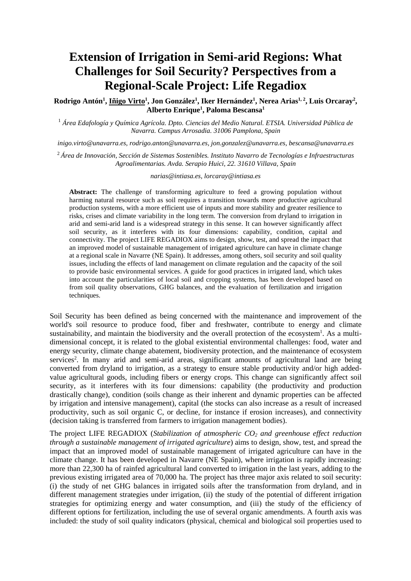## **Extension of Irrigation in Semi-arid Regions: What Challenges for Soil Security? Perspectives from a Regional-Scale Project: Life Regadiox**

**Rodrigo Antón<sup>1</sup> , Iñigo Virto<sup>1</sup> , Jon González<sup>1</sup> , Iker Hernández<sup>1</sup> , Nerea Arias1, 2, Luis Orcaray<sup>2</sup> , Alberto Enrique<sup>1</sup> , Paloma Bescansa<sup>1</sup>**

<sup>1</sup> *Área Edafología y Química Agrícola. Dpto. Ciencias del Medio Natural. ETSIA. Universidad Pública de Navarra. Campus Arrosadia. 31006 Pamplona, Spain* 

*inigo.virto@unavarra.es, rodrigo.anton@unavarra.es, jon.gonzalez@unavarra.es, bescansa@unavarra.es* 

<sup>2</sup>*Área de Innovación, Sección de Sistemas Sostenibles. Instituto Navarro de Tecnologías e Infraestructuras Agroalimentarias. Avda. Serapio Huici, 22. 31610 Villava, Spain* 

*narias@intiasa.es, lorcaray@intiasa.es* 

Abstract: The challenge of transforming agriculture to feed a growing population without harming natural resource such as soil requires a transition towards more productive agricultural production systems, with a more efficient use of inputs and more stability and greater resilience to risks, crises and climate variability in the long term. The conversion from dryland to irrigation in arid and semi-arid land is a widespread strategy in this sense. It can however significantly affect soil security, as it interferes with its four dimensions: capability, condition, capital and connectivity. The project LIFE REGADIOX aims to design, show, test, and spread the impact that an improved model of sustainable management of irrigated agriculture can have in climate change at a regional scale in Navarre (NE Spain). It addresses, among others, soil security and soil quality issues, including the effects of land management on climate regulation and the capacity of the soil to provide basic environmental services. A guide for good practices in irrigated land, which takes into account the particularities of local soil and cropping systems, has been developed based on from soil quality observations, GHG balances, and the evaluation of fertilization and irrigation techniques.

Soil Security has been defined as being concerned with the maintenance and improvement of the world's soil resource to produce food, fiber and freshwater, contribute to energy and climate sustainability, and maintain the biodiversity and the overall protection of the ecosystem<sup>1</sup>. As a multidimensional concept, it is related to the global existential environmental challenges: food, water and energy security, climate change abatement, biodiversity protection, and the maintenance of ecosystem services<sup>2</sup>. In many arid and semi-arid areas, significant amounts of agricultural land are being converted from dryland to irrigation, as a strategy to ensure stable productivity and/or high addedvalue agricultural goods, including fibers or energy crops. This change can significantly affect soil security, as it interferes with its four dimensions: capability (the productivity and production drastically change), condition (soils change as their inherent and dynamic properties can be affected by irrigation and intensive management), capital (the stocks can also increase as a result of increased productivity, such as soil organic C, or decline, for instance if erosion increases), and connectivity (decision taking is transferred from farmers to irrigation management bodies).

The project LIFE REGADIOX (*Stabilization of atmospheric CO2 and greenhouse effect reduction through a sustainable management of irrigated agriculture*) aims to design, show, test, and spread the impact that an improved model of sustainable management of irrigated agriculture can have in the climate change. It has been developed in Navarre (NE Spain), where irrigation is rapidly increasing: more than 22,300 ha of rainfed agricultural land converted to irrigation in the last years, adding to the previous existing irrigated area of 70,000 ha. The project has three major axis related to soil security: (i) the study of net GHG balances in irrigated soils after the transformation from dryland, and in different management strategies under irrigation, (ii) the study of the potential of different irrigation strategies for optimizing energy and water consumption, and (iii) the study of the efficiency of different options for fertilization, including the use of several organic amendments. A fourth axis was included: the study of soil quality indicators (physical, chemical and biological soil properties used to